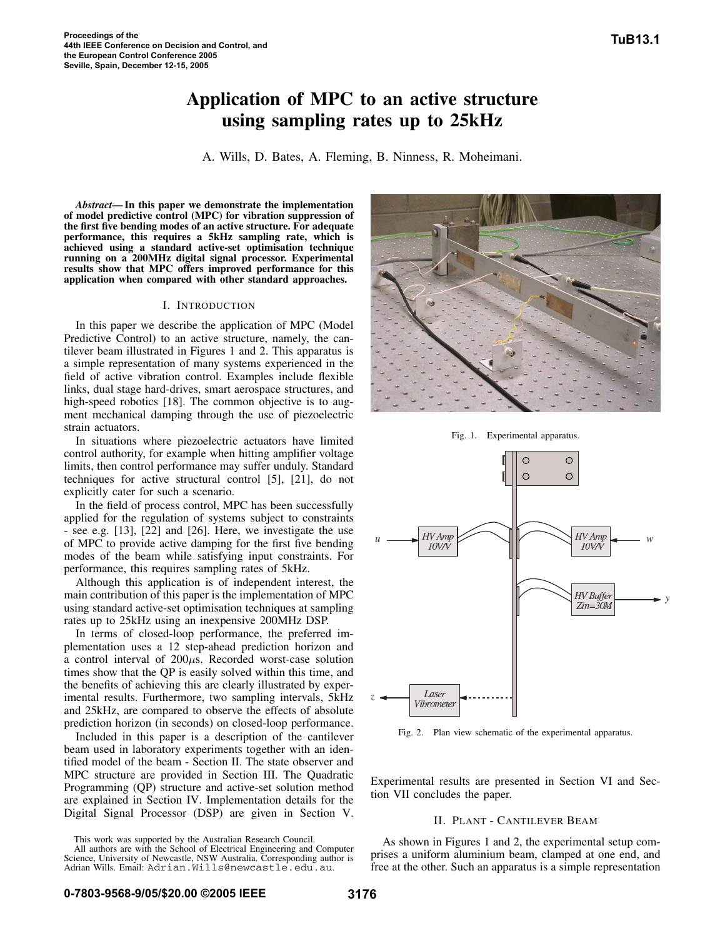# **Application of MPC to an active structure using sampling rates up to 25kHz**

A. Wills, D. Bates, A. Fleming, B. Ninness, R. Moheimani.

*Abstract***— In this paper we demonstrate the implementation of model predictive control (MPC) for vibration suppression of the first five bending modes of an active structure. For adequate performance, this requires a 5kHz sampling rate, which is achieved using a standard active-set optimisation technique running on a 200MHz digital signal processor. Experimental results show that MPC offers improved performance for this application when compared with other standard approaches.**

## I. INTRODUCTION

In this paper we describe the application of MPC (Model Predictive Control) to an active structure, namely, the cantilever beam illustrated in Figures 1 and 2. This apparatus is a simple representation of many systems experienced in the field of active vibration control. Examples include flexible links, dual stage hard-drives, smart aerospace structures, and high-speed robotics [18]. The common objective is to augment mechanical damping through the use of piezoelectric strain actuators.

In situations where piezoelectric actuators have limited control authority, for example when hitting amplifier voltage limits, then control performance may suffer unduly. Standard techniques for active structural control [5], [21], do not explicitly cater for such a scenario.

In the field of process control, MPC has been successfully applied for the regulation of systems subject to constraints - see e.g. [13], [22] and [26]. Here, we investigate the use of MPC to provide active damping for the first five bending modes of the beam while satisfying input constraints. For performance, this requires sampling rates of 5kHz.

Although this application is of independent interest, the main contribution of this paper is the implementation of MPC using standard active-set optimisation techniques at sampling rates up to 25kHz using an inexpensive 200MHz DSP.

In terms of closed-loop performance, the preferred implementation uses a 12 step-ahead prediction horizon and a control interval of  $200\mu s$ . Recorded worst-case solution times show that the QP is easily solved within this time, and the benefits of achieving this are clearly illustrated by experimental results. Furthermore, two sampling intervals, 5kHz and 25kHz, are compared to observe the effects of absolute prediction horizon (in seconds) on closed-loop performance.

Included in this paper is a description of the cantilever beam used in laboratory experiments together with an identified model of the beam - Section II. The state observer and MPC structure are provided in Section III. The Quadratic Programming (QP) structure and active-set solution method are explained in Section IV. Implementation details for the Digital Signal Processor (DSP) are given in Section V.

All authors are with the School of Electrical Engineering and Computer Science, University of Newcastle, NSW Australia. Corresponding author is Adrian Wills. Email: Adrian.Wills@newcastle.edu.au.



Fig. 1. Experimental apparatus.



Fig. 2. Plan view schematic of the experimental apparatus.

Experimental results are presented in Section VI and Section VII concludes the paper.

## II. PLANT - CANTILEVER BEAM

As shown in Figures 1 and 2, the experimental setup comprises a uniform aluminium beam, clamped at one end, and free at the other. Such an apparatus is a simple representation

This work was supported by the Australian Research Council.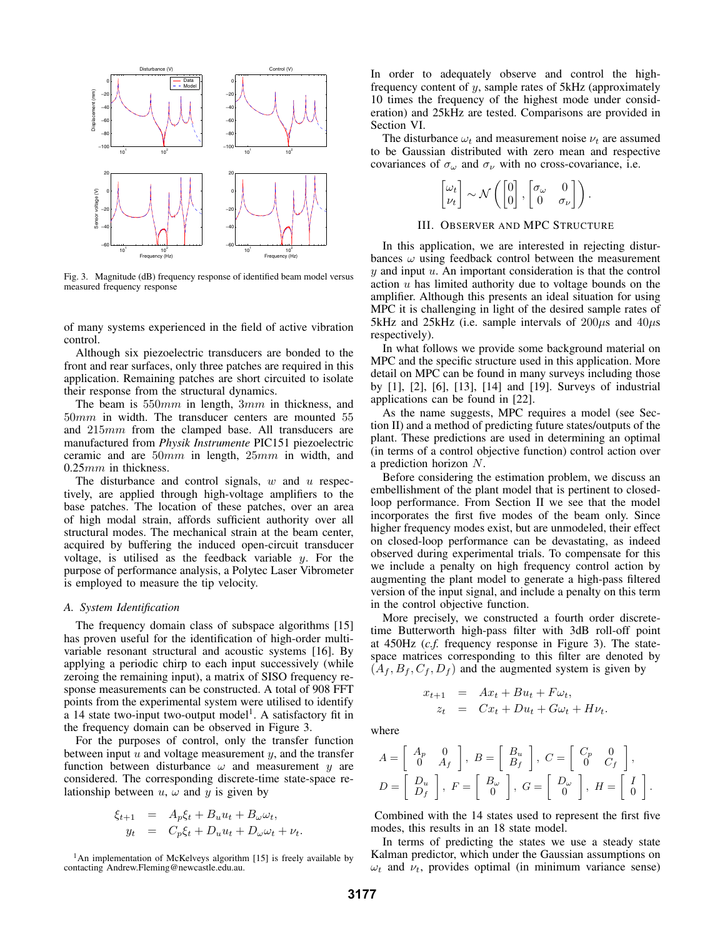

Fig. 3. Magnitude (dB) frequency response of identified beam model versus measured frequency response

of many systems experienced in the field of active vibration control.

Although six piezoelectric transducers are bonded to the front and rear surfaces, only three patches are required in this application. Remaining patches are short circuited to isolate their response from the structural dynamics.

The beam is 550mm in length, 3mm in thickness, and 50mm in width. The transducer centers are mounted 55 and 215mm from the clamped base. All transducers are manufactured from *Physik Instrumente* PIC151 piezoelectric ceramic and are 50mm in length, 25mm in width, and 0.25mm in thickness.

The disturbance and control signals,  $w$  and  $u$  respectively, are applied through high-voltage amplifiers to the base patches. The location of these patches, over an area of high modal strain, affords sufficient authority over all structural modes. The mechanical strain at the beam center, acquired by buffering the induced open-circuit transducer voltage, is utilised as the feedback variable  $y$ . For the purpose of performance analysis, a Polytec Laser Vibrometer is employed to measure the tip velocity.

## *A. System Identification*

The frequency domain class of subspace algorithms [15] has proven useful for the identification of high-order multivariable resonant structural and acoustic systems [16]. By applying a periodic chirp to each input successively (while zeroing the remaining input), a matrix of SISO frequency response measurements can be constructed. A total of 908 FFT points from the experimental system were utilised to identify a 14 state two-input two-output model<sup>1</sup>. A satisfactory fit in the frequency domain can be observed in Figure 3.

For the purposes of control, only the transfer function between input  $u$  and voltage measurement  $y$ , and the transfer function between disturbance  $\omega$  and measurement y are considered. The corresponding discrete-time state-space relationship between  $u, \omega$  and  $y$  is given by

$$
\xi_{t+1} = A_p \xi_t + B_u u_t + B_\omega \omega_t,
$$
  
\n
$$
y_t = C_p \xi_t + D_u u_t + D_\omega \omega_t + \nu_t.
$$

 $<sup>1</sup>$ An implementation of McKelveys algorithm [15] is freely available by</sup> contacting Andrew.Fleming@newcastle.edu.au.

In order to adequately observe and control the highfrequency content of  $y$ , sample rates of 5kHz (approximately 10 times the frequency of the highest mode under consideration) and 25kHz are tested. Comparisons are provided in Section VI.

The disturbance  $\omega_t$  and measurement noise  $\nu_t$  are assumed to be Gaussian distributed with zero mean and respective covariances of  $\sigma_{\omega}$  and  $\sigma_{\nu}$  with no cross-covariance, i.e.

| $\begin{bmatrix} \omega_t \\ \nu_t \end{bmatrix} \sim \mathcal{N}\left(\begin{bmatrix} 0 \\ 0 \end{bmatrix}, \begin{bmatrix} \sigma_\omega & 0 \\ 0 & \sigma_\nu \end{bmatrix}\right).$ |  |  |
|-----------------------------------------------------------------------------------------------------------------------------------------------------------------------------------------|--|--|

#### III. OBSERVER AND MPC STRUCTURE

In this application, we are interested in rejecting disturbances  $\omega$  using feedback control between the measurement  $y$  and input  $u$ . An important consideration is that the control action  $u$  has limited authority due to voltage bounds on the amplifier. Although this presents an ideal situation for using MPC it is challenging in light of the desired sample rates of 5kHz and 25kHz (i.e. sample intervals of  $200\mu s$  and  $40\mu s$ ) respectively).

In what follows we provide some background material on MPC and the specific structure used in this application. More detail on MPC can be found in many surveys including those by [1], [2], [6], [13], [14] and [19]. Surveys of industrial applications can be found in [22].

As the name suggests, MPC requires a model (see Section II) and a method of predicting future states/outputs of the plant. These predictions are used in determining an optimal (in terms of a control objective function) control action over a prediction horizon N.

Before considering the estimation problem, we discuss an embellishment of the plant model that is pertinent to closedloop performance. From Section II we see that the model incorporates the first five modes of the beam only. Since higher frequency modes exist, but are unmodeled, their effect on closed-loop performance can be devastating, as indeed observed during experimental trials. To compensate for this we include a penalty on high frequency control action by augmenting the plant model to generate a high-pass filtered version of the input signal, and include a penalty on this term in the control objective function.

More precisely, we constructed a fourth order discretetime Butterworth high-pass filter with 3dB roll-off point at 450Hz (*c.f.* frequency response in Figure 3). The statespace matrices corresponding to this filter are denoted by  $(A_f, B_f, C_f, D_f)$  and the augmented system is given by

$$
x_{t+1} = Ax_t + Bu_t + F\omega_t,
$$
  
\n
$$
z_t = Cx_t + Du_t + G\omega_t + Hv_t.
$$

where

$$
A = \begin{bmatrix} A_p & 0 \\ 0 & A_f \end{bmatrix}, B = \begin{bmatrix} B_u \\ B_f \end{bmatrix}, C = \begin{bmatrix} C_p & 0 \\ 0 & C_f \end{bmatrix},
$$
  

$$
D = \begin{bmatrix} D_u \\ D_f \end{bmatrix}, F = \begin{bmatrix} B_\omega \\ 0 \end{bmatrix}, G = \begin{bmatrix} D_\omega \\ 0 \end{bmatrix}, H = \begin{bmatrix} I \\ 0 \end{bmatrix}.
$$

Combined with the 14 states used to represent the first five modes, this results in an 18 state model.

In terms of predicting the states we use a steady state Kalman predictor, which under the Gaussian assumptions on  $\omega_t$  and  $\nu_t$ , provides optimal (in minimum variance sense)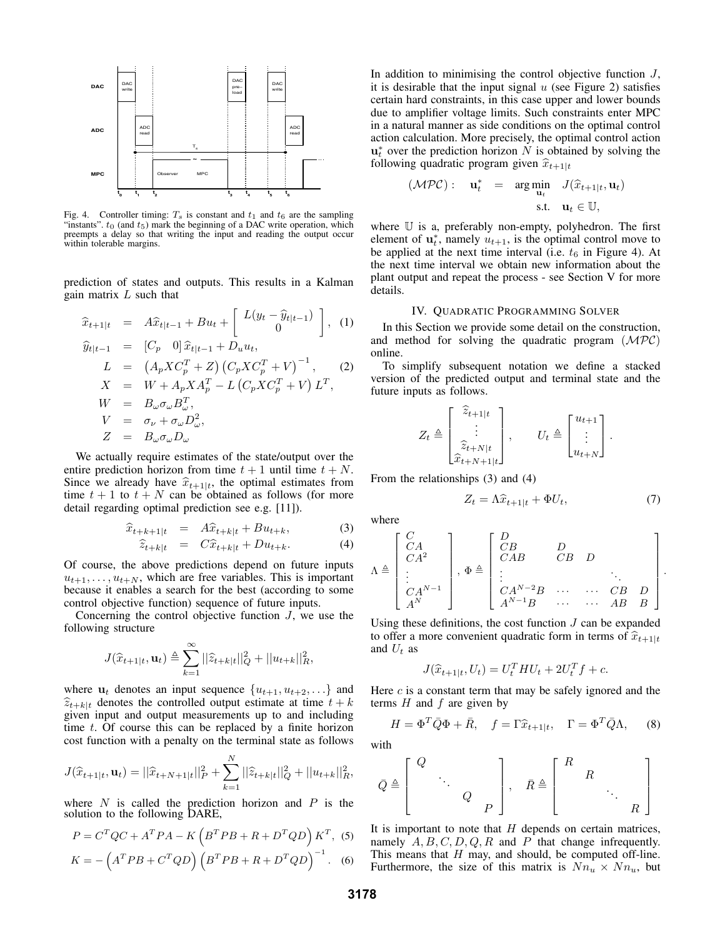

Fig. 4. Controller timing:  $T_s$  is constant and  $t_1$  and  $t_6$  are the sampling "instants".  $t_0$  (and  $t_5$ ) mark the beginning of a DAC write operation, which preempts a delay so that writing the input and reading the output occur within tolerable margins.

prediction of states and outputs. This results in a Kalman gain matrix  $L$  such that

$$
\begin{aligned}\n\widehat{x}_{t+1|t} &= A\widehat{x}_{t|t-1} + Bu_t + \left[ \begin{array}{c} L(y_t - \widehat{y}_{t|t-1}) \\ 0 \end{array} \right], \quad (1) \\
\widehat{y}_{t|t-1} &= [C_p \quad 0] \,\widehat{x}_{t|t-1} + D_u u_t, \\
L &= (A_p X C_p^T + Z) \left( C_p X C_p^T + V \right)^{-1}, \quad (2) \\
X &= W + A_p X A_p^T - L \left( C_p X C_p^T + V \right) L^T, \\
W &= B_\omega \sigma_\omega B_\omega^T, \\
V &= \sigma_\nu + \sigma_\omega D_\omega^2, \\
Z &= B_\omega \sigma_\omega D_\omega\n\end{aligned}
$$

We actually require estimates of the state/output over the entire prediction horizon from time  $t + 1$  until time  $t + N$ . Since we already have  $\hat{x}_{t+1|t}$ , the optimal estimates from time  $t + 1$  to  $t + N$  can be obtained as follows (for more detail regarding optimal prediction see e.g. [11]).

$$
\widehat{x}_{t+k+1|t} = A\widehat{x}_{t+k|t} + Bu_{t+k}, \tag{3}
$$

$$
\widehat{z}_{t+k|t} = C\widehat{x}_{t+k|t} + Du_{t+k}.
$$
 (4)

Of course, the above predictions depend on future inputs  $u_{t+1},\ldots,u_{t+N}$ , which are free variables. This is important because it enables a search for the best (according to some control objective function) sequence of future inputs.

Concerning the control objective function  $J$ , we use the following structure

$$
J(\widehat{x}_{t+1|t}, \mathbf{u}_t) \triangleq \sum_{k=1}^{\infty} ||\widehat{z}_{t+k|t}||_Q^2 + ||u_{t+k}||_R^2,
$$

where  $\mathbf{u}_t$  denotes an input sequence  $\{u_{t+1}, u_{t+2}, \ldots\}$  and  $\widehat{z}_{t+k|t}$  denotes the controlled output estimate at time  $t + k$ given input and output measurements up to and including time t. Of course this can be replaced by a finite horizon cost function with a penalty on the terminal state as follows

$$
J(\widehat{x}_{t+1|t}, \mathbf{u}_t) = ||\widehat{x}_{t+N+1|t}||_P^2 + \sum_{k=1}^N ||\widehat{z}_{t+k|t}||_Q^2 + ||u_{t+k}||_R^2,
$$

where  $N$  is called the prediction horizon and  $P$  is the solution to the following DARE,

$$
P = CTQC + ATPA - K\left(BTPB + R + DTQD\right)KT, (5)
$$

$$
K = -\left(ATPB + CTQD\right)\left(BTPB + R + DTQD\right)^{-1}.
$$
 (6)

In addition to minimising the control objective function J, it is desirable that the input signal  $u$  (see Figure 2) satisfies certain hard constraints, in this case upper and lower bounds due to amplifier voltage limits. Such constraints enter MPC in a natural manner as side conditions on the optimal control action calculation. More precisely, the optimal control action  $\mathbf{u}_t^*$  over the prediction horizon N is obtained by solving the following quadratic program given  $\hat{x}_{t+1|t}$ 

$$
\begin{array}{rcl}\n(\mathcal{MPC}): \quad \mathbf{u}_t^* & = & \arg\min_{\mathbf{u}_t} & J(\widehat{x}_{t+1|t}, \mathbf{u}_t) \\
\text{s.t.} & \mathbf{u}_t \in \mathbb{U},\n\end{array}
$$

where U is a, preferably non-empty, polyhedron. The first element of  $\mathbf{u}_t^*$ , namely  $u_{t+1}$ , is the optimal control move to be applied at the next time interval (i.e.  $t_6$  in Figure 4). At the next time interval we obtain new information about the plant output and repeat the process - see Section V for more details.

## IV. QUADRATIC PROGRAMMING SOLVER

In this Section we provide some detail on the construction, and method for solving the quadratic program  $(MPC)$ online.

To simplify subsequent notation we define a stacked version of the predicted output and terminal state and the future inputs as follows.

$$
Z_t \triangleq \begin{bmatrix} \hat{z}_{t+1|t} \\ \vdots \\ \hat{z}_{t+N|t} \\ \hat{x}_{t+N+1|t} \end{bmatrix}, \qquad U_t \triangleq \begin{bmatrix} u_{t+1} \\ \vdots \\ u_{t+N} \end{bmatrix}.
$$

From the relationships (3) and (4)

$$
Z_t = \Lambda \widehat{x}_{t+1|t} + \Phi U_t, \tag{7}
$$

.

where

$$
\Lambda \triangleq \begin{bmatrix} C & & & \\ CA & & & \\ CA^2 & & & \\ \vdots & & & \\ CA^N & & & \end{bmatrix}, \Phi \triangleq \begin{bmatrix} D & & & & \\ CB & D & & & \\ CAB & & CB & D & & \\ \vdots & & & & \ddots & \\ CA^{N-2}B & \cdots & \cdots & CB & D \\ AA^{N-1}B & \cdots & \cdots & AB & B \end{bmatrix}
$$

Using these definitions, the cost function  $J$  can be expanded to offer a more convenient quadratic form in terms of  $\hat{x}_{t+1|t}$ and  $U_t$  as

$$
J(\hat{x}_{t+1|t}, U_t) = U_t^T H U_t + 2U_t^T f + c.
$$

Here  $c$  is a constant term that may be safely ignored and the terms  $H$  and  $f$  are given by

$$
H = \Phi^T \bar{Q} \Phi + \bar{R}, \quad f = \Gamma \hat{x}_{t+1|t}, \quad \Gamma = \Phi^T \bar{Q} \Lambda, \tag{8}
$$

with

$$
\bar{Q} \triangleq \begin{bmatrix} Q \\ & \ddots \\ & & Q \\ & & P \end{bmatrix}, \quad \bar{R} \triangleq \begin{bmatrix} R \\ & R \\ & \ddots \\ & & R \end{bmatrix}
$$

It is important to note that  $H$  depends on certain matrices, namely  $A, B, C, D, Q, R$  and P that change infrequently. This means that  $H$  may, and should, be computed off-line. Furthermore, the size of this matrix is  $Nn_u \times Nn_u$ , but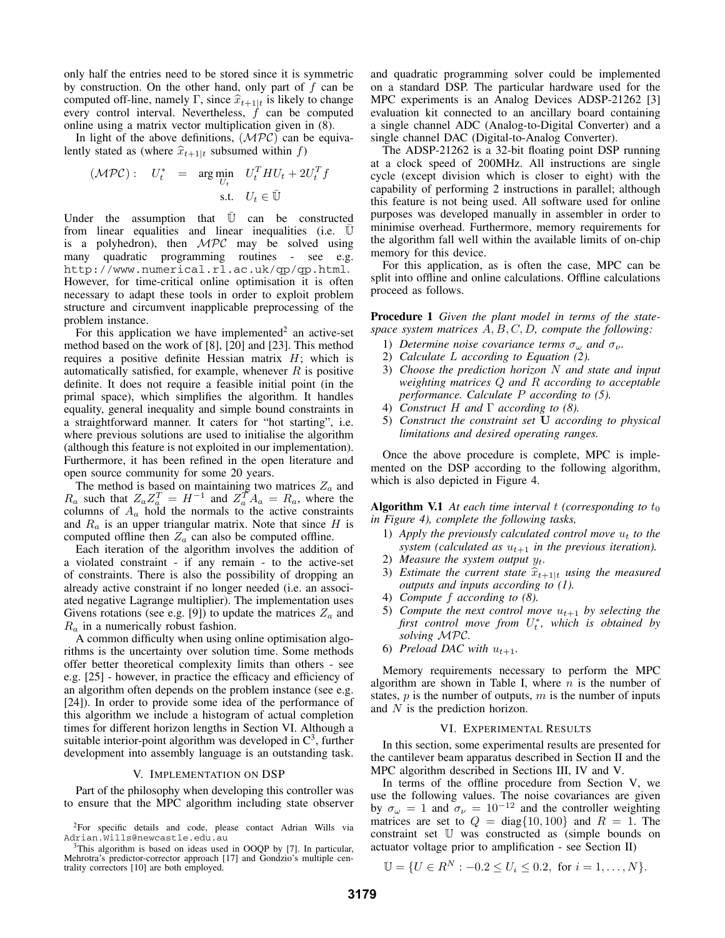only half the entries need to be stored since it is symmetric by construction. On the other hand, only part of  $f$  can be computed off-line, namely Γ, since  $\hat{x}_{t+1|t}$  is likely to change every control interval. Nevertheless,  $f$  can be computed online using a matrix vector multiplication given in (8).

In light of the above definitions,  $(MPC)$  can be equivalently stated as (where  $\hat{x}_{t+1|t}$  subsumed within f)

$$
(\mathcal{MPC}): \quad U_t^* \quad = \quad \arg\min_{U_t} \quad U_t^T H U_t + 2U_t^T f
$$
\n
$$
\text{s.t.} \quad U_t \in \bar{\mathbb{U}}
$$

Under the assumption that  $\overline{U}$  can be constructed from linear equalities and linear inequalities (i.e.  $\mathbb U$ is a polyhedron), then  $MPC$  may be solved using many quadratic programming routines - see e.g. http://www.numerical.rl.ac.uk/qp/qp.html. However, for time-critical online optimisation it is often necessary to adapt these tools in order to exploit problem structure and circumvent inapplicable preprocessing of the problem instance.

For this application we have implemented<sup>2</sup> an active-set method based on the work of [8], [20] and [23]. This method requires a positive definite Hessian matrix  $H$ ; which is automatically satisfied, for example, whenever  $R$  is positive definite. It does not require a feasible initial point (in the primal space), which simplifies the algorithm. It handles equality, general inequality and simple bound constraints in a straightforward manner. It caters for "hot starting", i.e. where previous solutions are used to initialise the algorithm (although this feature is not exploited in our implementation). Furthermore, it has been refined in the open literature and open source community for some 20 years.

The method is based on maintaining two matrices  $Z_a$  and  $R_a$  such that  $Z_a Z_a^T = H^{-1}$  and  $Z_a^T A_a = R_a$ , where the columns of  $A_a$  hold the normals to the active constraints and  $R_a$  is an upper triangular matrix. Note that since H is computed offline then  $Z_a$  can also be computed offline.

Each iteration of the algorithm involves the addition of a violated constraint - if any remain - to the active-set of constraints. There is also the possibility of dropping an already active constraint if no longer needed (i.e. an associated negative Lagrange multiplier). The implementation uses Givens rotations (see e.g. [9]) to update the matrices  $Z_a$  and  $R_a$  in a numerically robust fashion.

A common difficulty when using online optimisation algorithms is the uncertainty over solution time. Some methods offer better theoretical complexity limits than others - see e.g. [25] - however, in practice the efficacy and efficiency of an algorithm often depends on the problem instance (see e.g. [24]). In order to provide some idea of the performance of this algorithm we include a histogram of actual completion times for different horizon lengths in Section VI. Although a suitable interior-point algorithm was developed in  $C<sup>3</sup>$ , further development into assembly language is an outstanding task.

## V. IMPLEMENTATION ON DSP

Part of the philosophy when developing this controller was to ensure that the MPC algorithm including state observer and quadratic programming solver could be implemented on a standard DSP. The particular hardware used for the MPC experiments is an Analog Devices ADSP-21262 [3] evaluation kit connected to an ancillary board containing a single channel ADC (Analog-to-Digital Converter) and a single channel DAC (Digital-to-Analog Converter).

The ADSP-21262 is a 32-bit floating point DSP running at a clock speed of 200MHz. All instructions are single cycle (except division which is closer to eight) with the capability of performing 2 instructions in parallel; although this feature is not being used. All software used for online purposes was developed manually in assembler in order to minimise overhead. Furthermore, memory requirements for the algorithm fall well within the available limits of on-chip memory for this device.

For this application, as is often the case, MPC can be split into offline and online calculations. Offline calculations proceed as follows.

**Procedure 1** *Given the plant model in terms of the statespace system matrices* A, B, C, D*, compute the following:*

- 1) *Determine noise covariance terms*  $\sigma_{\omega}$  *and*  $\sigma_{\nu}$ *.*
- 2) *Calculate* L *according to Equation (2).*
- 3) *Choose the prediction horizon* N *and state and input weighting matrices* Q *and* R *according to acceptable performance. Calculate* P *according to (5).*
- 4) *Construct* H *and* Γ *according to (8).*
- 5) *Construct the constraint set* **U** *according to physical limitations and desired operating ranges.*

Once the above procedure is complete, MPC is implemented on the DSP according to the following algorithm, which is also depicted in Figure 4.

**Algorithm V.1** At each time interval t *(corresponding to*  $t_0$ ) *in Figure 4), complete the following tasks,*

- 1) *Apply the previously calculated control move*  $u_t$  *to the system (calculated as*  $u_{t+1}$  *in the previous iteration).*
- 2) *Measure the system output*  $y_t$ .
- 3) *Estimate the current state*  $\hat{x}_{t+1|t}$  *using the measured outputs and inputs according to (1).*
- 4) *Compute* f *according to (8).*
- 5) *Compute the next control move*  $u_{t+1}$  *by selecting the* first control move from  $U_t^*$ , which is obtained by *solving* MPC*.*
- 6) *Preload DAC with*  $u_{t+1}$ .

Memory requirements necessary to perform the MPC algorithm are shown in Table I, where  $n$  is the number of states,  $p$  is the number of outputs,  $m$  is the number of inputs and N is the prediction horizon.

## VI. EXPERIMENTAL RESULTS

In this section, some experimental results are presented for the cantilever beam apparatus described in Section II and the MPC algorithm described in Sections III, IV and V.

In terms of the offline procedure from Section V, we use the following values. The noise covariances are given by  $\sigma_{\omega} = 1$  and  $\sigma_{\nu} = 10^{-12}$  and the controller weighting matrices are set to  $Q = diag\{10, 100\}$  and  $R = 1$ . The constraint set U was constructed as (simple bounds on actuator voltage prior to amplification - see Section II)

$$
\mathbb{U} = \{ U \in \mathbb{R}^N : -0.2 \le U_i \le 0.2, \text{ for } i = 1, ..., N \}.
$$

<sup>2</sup>For specific details and code, please contact Adrian Wills via Adrian.Wills@newcastle.edu.au

<sup>&</sup>lt;sup>3</sup>This algorithm is based on ideas used in OOQP by [7]. In particular, Mehrotra's predictor-corrector approach [17] and Gondzio's multiple centrality correctors [10] are both employed.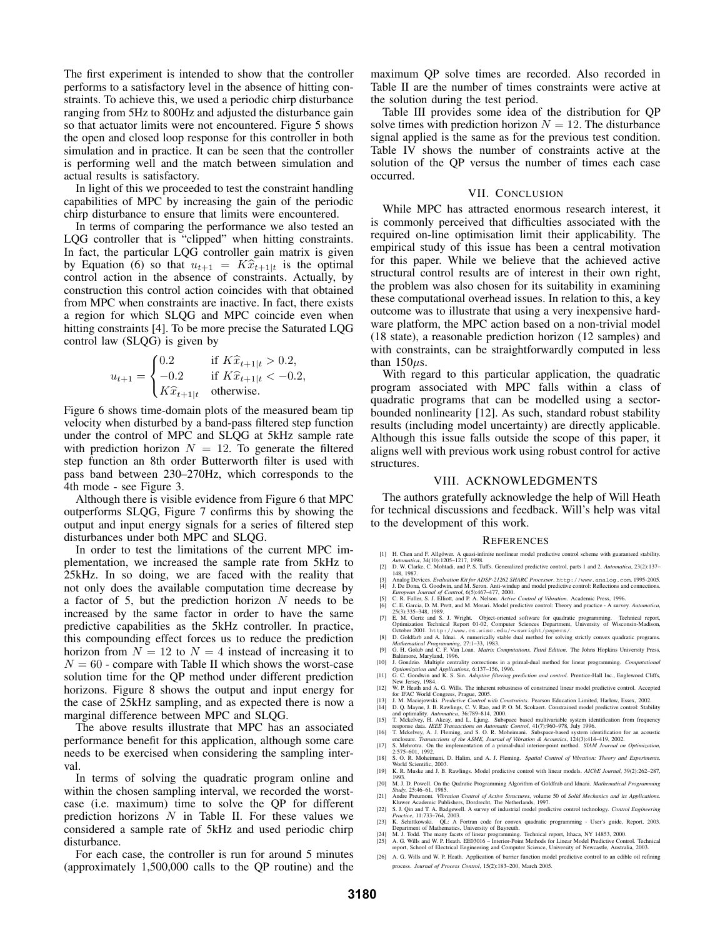The first experiment is intended to show that the controller performs to a satisfactory level in the absence of hitting constraints. To achieve this, we used a periodic chirp disturbance ranging from 5Hz to 800Hz and adjusted the disturbance gain so that actuator limits were not encountered. Figure 5 shows the open and closed loop response for this controller in both simulation and in practice. It can be seen that the controller is performing well and the match between simulation and actual results is satisfactory.

In light of this we proceeded to test the constraint handling capabilities of MPC by increasing the gain of the periodic chirp disturbance to ensure that limits were encountered.

In terms of comparing the performance we also tested an LQG controller that is "clipped" when hitting constraints. In fact, the particular LQG controller gain matrix is given by Equation (6) so that  $u_{t+1} = K\hat{x}_{t+1|t}$  is the optimal control action in the absence of constraints. Actually, by construction this control action coincides with that obtained from MPC when constraints are inactive. In fact, there exists a region for which SLQG and MPC coincide even when hitting constraints [4]. To be more precise the Saturated LQG control law (SLQG) is given by

$$
u_{t+1} = \begin{cases} 0.2 & \text{if } K\hat{x}_{t+1|t} > 0.2, \\ -0.2 & \text{if } K\hat{x}_{t+1|t} < -0.2, \\ K\hat{x}_{t+1|t} & \text{otherwise.} \end{cases}
$$

Figure 6 shows time-domain plots of the measured beam tip velocity when disturbed by a band-pass filtered step function under the control of MPC and SLQG at 5kHz sample rate with prediction horizon  $N = 12$ . To generate the filtered step function an 8th order Butterworth filter is used with pass band between 230–270Hz, which corresponds to the 4th mode - see Figure 3.

Although there is visible evidence from Figure 6 that MPC outperforms SLQG, Figure 7 confirms this by showing the output and input energy signals for a series of filtered step disturbances under both MPC and SLQG.

In order to test the limitations of the current MPC implementation, we increased the sample rate from 5kHz to 25kHz. In so doing, we are faced with the reality that not only does the available computation time decrease by a factor of 5, but the prediction horizon  $N$  needs to be increased by the same factor in order to have the same predictive capabilities as the 5kHz controller. In practice, this compounding effect forces us to reduce the prediction horizon from  $N = 12$  to  $N = 4$  instead of increasing it to  $N = 60$  - compare with Table II which shows the worst-case solution time for the QP method under different prediction horizons. Figure 8 shows the output and input energy for the case of 25kHz sampling, and as expected there is now a marginal difference between MPC and SLQG.

The above results illustrate that MPC has an associated performance benefit for this application, although some care needs to be exercised when considering the sampling interval.

In terms of solving the quadratic program online and within the chosen sampling interval, we recorded the worstcase (i.e. maximum) time to solve the QP for different prediction horizons  $N$  in Table II. For these values we considered a sample rate of 5kHz and used periodic chirp disturbance.

For each case, the controller is run for around 5 minutes (approximately 1,500,000 calls to the QP routine) and the maximum QP solve times are recorded. Also recorded in Table II are the number of times constraints were active at the solution during the test period.

Table III provides some idea of the distribution for QP solve times with prediction horizon  $N = 12$ . The disturbance signal applied is the same as for the previous test condition. Table IV shows the number of constraints active at the solution of the QP versus the number of times each case occurred.

# VII. CONCLUSION

While MPC has attracted enormous research interest, it is commonly perceived that difficulties associated with the required on-line optimisation limit their applicability. The empirical study of this issue has been a central motivation for this paper. While we believe that the achieved active structural control results are of interest in their own right, the problem was also chosen for its suitability in examining these computational overhead issues. In relation to this, a key outcome was to illustrate that using a very inexpensive hardware platform, the MPC action based on a non-trivial model (18 state), a reasonable prediction horizon (12 samples) and with constraints, can be straightforwardly computed in less than  $150\mu s$ .

With regard to this particular application, the quadratic program associated with MPC falls within a class of quadratic programs that can be modelled using a sectorbounded nonlinearity [12]. As such, standard robust stability results (including model uncertainty) are directly applicable. Although this issue falls outside the scope of this paper, it aligns well with previous work using robust control for active structures.

## VIII. ACKNOWLEDGMENTS

The authors gratefully acknowledge the help of Will Heath for technical discussions and feedback. Will's help was vital to the development of this work.

### **REFERENCES**

- [1] H. Chen and F. Allgöwer. A quasi-infinite nonlinear model predictive control scheme with guaranteed stability.<br>Automatica, 34(10): 1205–1217, 1998.<br>[2] D. W. Clarke, C. Mohtadi, and P. S. Tuffs. Generalized predictive
- 
- 148, 1987.<br>
21 Analog Devices. Evaluation Kit for ADSP-21262 SHARC Processor. http://www.analog.com, 1995-2005.<br>
31 J. De Dona, G. Goodwin, and M. Seron. Anti-windup and model predictive control: Reflections and connection
- 
- 
- [5] C. R. Fuller, S. J. Elliott, and P. A. Nelson. *Actio* Control of Vibraion. Academic Press, 1996.<br>
[6] C. E. Garcia, D. M. Prett, and M. Morari. Model predictive control: Theory and practice A survey. Automatica,<br>
2
- 
- 
- 
- 
- 
- 
- 
- 
- 
- [18] S. O. R. Moheimani, D. Halim, and A. J. Fleming. *Spatial Control of Vibration: Theory and Experiments*. World Scientific, 2003.
- [19] K. R. Muske and J. B. Rawlings. Model predictive control with linear models. *AIChE Journal*, 39(2):262–287,
- 1993. [20] M. J. D. Powell. On the Qudratic Programming Algorithm of Goldfrab and Idnani. *Mathematical Programming*
- 
- Study, 25:46-61, 1985.<br>
21 Andre Preumont. *Vibration Control of Active Structures*, volume 50 of *Solid Mechanics and its Applications*.<br>
221 S. J. Qun and T. A. Badgewell. A survey of industrial model predictive control
- 223) K. Schittkowski. OL: A Fortran code for convex quadratic programming User's guide, Report, 2003.<br>24) M. J. Todd. The many facets of linear programming. Technical report, Ithaca, NY 14853, 2000.<br>24) M. J. Todd. The m
- 
- [26] A. G. Wills and W. P. Heath. Application of barrier function model predictive control to an edible oil refining process. *Journal of Process Control*, 15(2):183–200, March 2005.